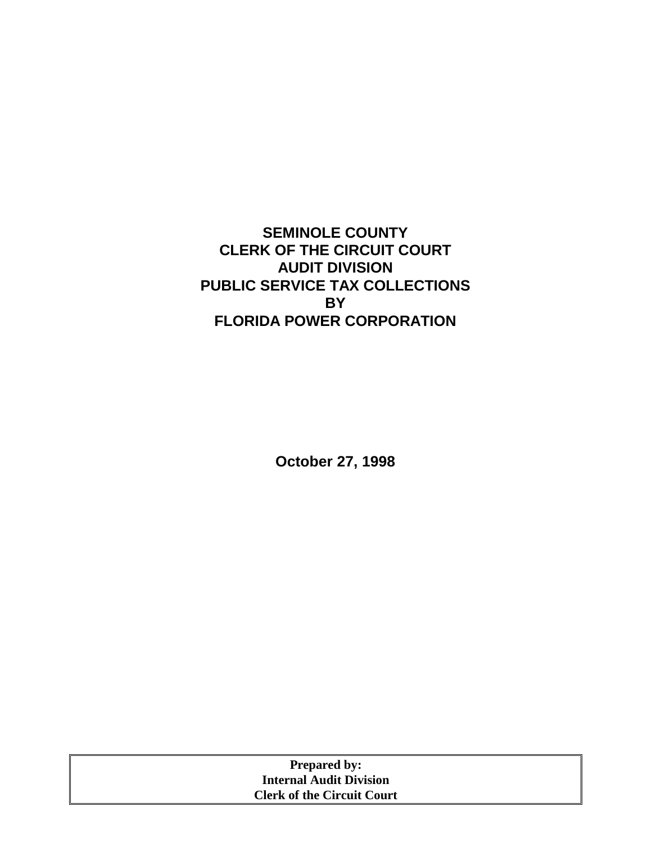## **SEMINOLE COUNTY CLERK OF THE CIRCUIT COURT AUDIT DIVISION PUBLIC SERVICE TAX COLLECTIONS BY FLORIDA POWER CORPORATION**

**October 27, 1998** 

| <b>Prepared by:</b>               |  |
|-----------------------------------|--|
| <b>Internal Audit Division</b>    |  |
| <b>Clerk of the Circuit Court</b> |  |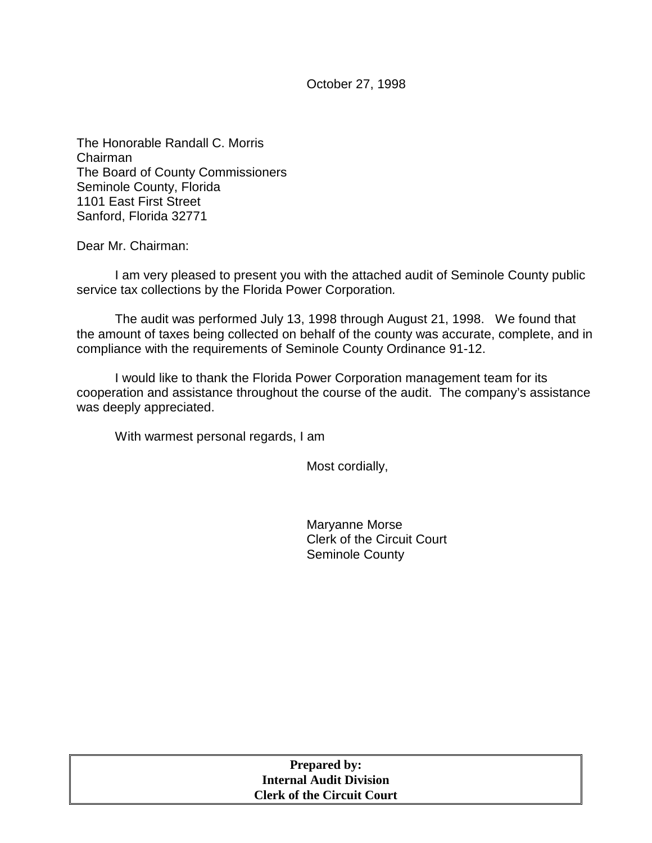October 27, 1998

The Honorable Randall C. Morris Chairman The Board of County Commissioners Seminole County, Florida 1101 East First Street Sanford, Florida 32771

Dear Mr. Chairman:

I am very pleased to present you with the attached audit of Seminole County public service tax collections by the Florida Power Corporation*.* 

The audit was performed July 13, 1998 through August 21, 1998. We found that the amount of taxes being collected on behalf of the county was accurate, complete, and in compliance with the requirements of Seminole County Ordinance 91-12.

I would like to thank the Florida Power Corporation management team for its cooperation and assistance throughout the course of the audit. The company's assistance was deeply appreciated.

With warmest personal regards, I am

Most cordially,

Maryanne Morse Clerk of the Circuit Court Seminole County

| <b>Prepared by:</b>               |  |
|-----------------------------------|--|
| <b>Internal Audit Division</b>    |  |
| <b>Clerk of the Circuit Court</b> |  |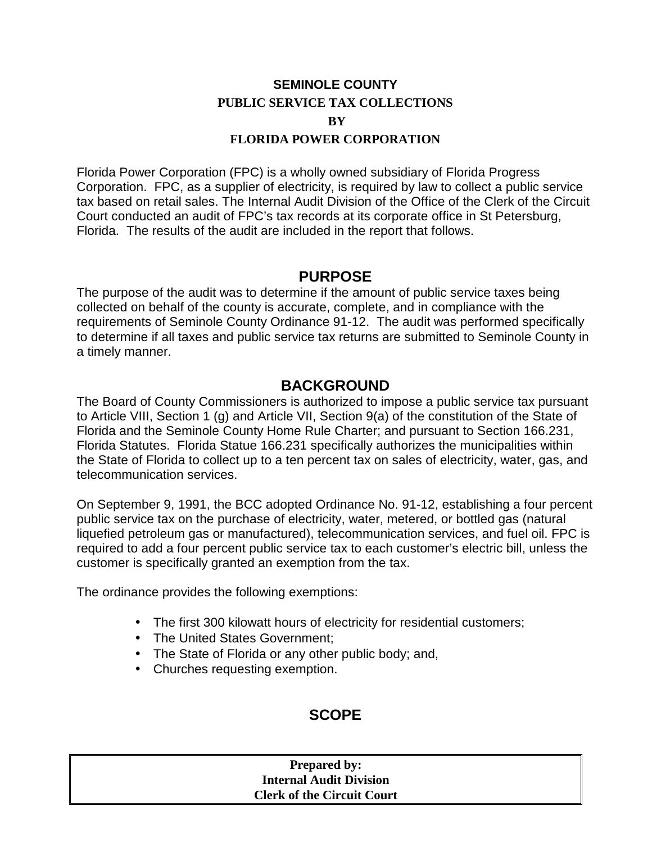# **SEMINOLE COUNTY PUBLIC SERVICE TAX COLLECTIONS**   $\bf{R}V$

#### **FLORIDA POWER CORPORATION**

Florida Power Corporation (FPC) is a wholly owned subsidiary of Florida Progress Corporation. FPC, as a supplier of electricity, is required by law to collect a public service tax based on retail sales. The Internal Audit Division of the Office of the Clerk of the Circuit Court conducted an audit of FPC's tax records at its corporate office in St Petersburg, Florida. The results of the audit are included in the report that follows.

### **PURPOSE**

The purpose of the audit was to determine if the amount of public service taxes being collected on behalf of the county is accurate, complete, and in compliance with the requirements of Seminole County Ordinance 91-12. The audit was performed specifically to determine if all taxes and public service tax returns are submitted to Seminole County in a timely manner.

### **BACKGROUND**

The Board of County Commissioners is authorized to impose a public service tax pursuant to Article VIII, Section 1 (g) and Article VII, Section 9(a) of the constitution of the State of Florida and the Seminole County Home Rule Charter; and pursuant to Section 166.231, Florida Statutes. Florida Statue 166.231 specifically authorizes the municipalities within the State of Florida to collect up to a ten percent tax on sales of electricity, water, gas, and telecommunication services.

On September 9, 1991, the BCC adopted Ordinance No. 91-12, establishing a four percent public service tax on the purchase of electricity, water, metered, or bottled gas (natural liquefied petroleum gas or manufactured), telecommunication services, and fuel oil. FPC is required to add a four percent public service tax to each customer's electric bill, unless the customer is specifically granted an exemption from the tax.

The ordinance provides the following exemptions:

- The first 300 kilowatt hours of electricity for residential customers;
- The United States Government;
- The State of Florida or any other public body; and,
- Churches requesting exemption.

## **SCOPE**

#### **Prepared by: Internal Audit Division Clerk of the Circuit Court**